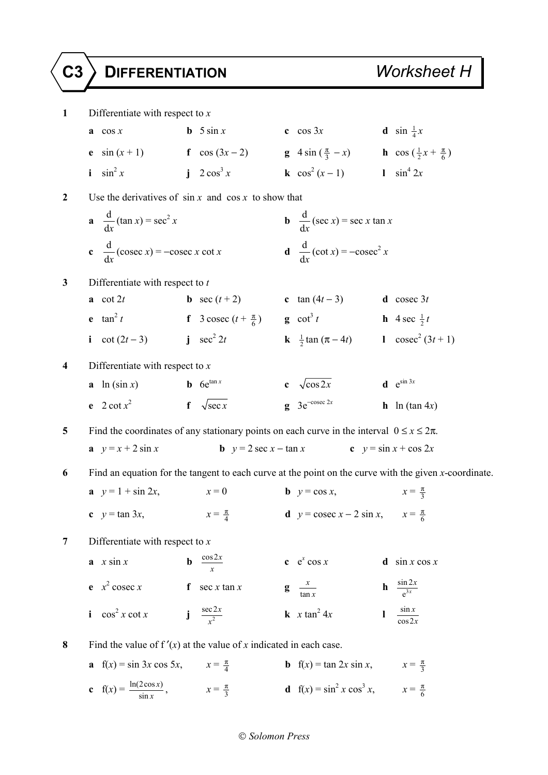**1** Differentiate with respect to *x* **a** cos *x* **b** 5 sin *x* **c** cos 3*x* **d** sin  $\frac{1}{4}x$ **e** sin (*x* + 1) **f** cos (3*x* - 2) **g** 4 sin ( $\frac{\pi}{3}$  - *x*) **h** cos ( $\frac{1}{2}$ *x* +  $\frac{\pi}{6}$ ) **i**  $\sin^2 x$  $i \quad 2 \cos^3 x$ *x* **k**  $\cos^2(x-1)$  **l**  $\sin^4 2x$ **2** Use the derivatives of sin *x* and cos *x* to show that  $\frac{d}{dx}$ d*x*  $(\tan x) = \sec^2 x$ *x* **b**  $\frac{d}{dx}$ d*x*  $(\sec x) = \sec x \tan x$ c  $\frac{d}{t}$ d*x*  $(\csc x) = -\csc x \cot x$  **d**  $\frac{d}{dx}$ d*x*  $(\cot x) = -\csc^2 x$ **3** Differentiate with respect to *t* **a** cot 2*t* **b** sec (*t* + 2) **c** tan (4*t* − 3) **d** cosec 3*t* **e**  $\tan^2 t$  **f** 3 cosec  $(t + \frac{\pi}{6})$  **g**  $\cot^3 t$ **g** cot<sup>3</sup> *t* **h** 4 sec  $\frac{1}{2}t$ **i** cot  $(2t - 3)$  **j** sec<sup>2</sup> 2*t* 2*t* **k**  $\frac{1}{2}$  tan ( $\pi - 4t$ ) **l** cosec<sup>2</sup> (3*t* + 1) **4** Differentiate with respect to *x* **a** ln (sin *x*) **b** 6e<sup>tan *x*</sup> **c**  $\sqrt{\cos 2x}$  **d** e<sup>sin 3*x*</sup> **e** 2 cot  $x^2$  $f \sqrt{\sec x}$  **g** 3e<sup>-cosec 2*x* **h** ln (tan 4*x*)</sup> **5** Find the coordinates of any stationary points on each curve in the interval  $0 \le x \le 2\pi$ . **a**  $y = x + 2 \sin x$  **b**  $y = 2 \sec x - \tan x$  **c**  $y = \sin x + \cos 2x$ **6** Find an equation for the tangent to each curve at the point on the curve with the given *x*-coordinate. **a**  $y = 1 + \sin 2x$ ,  $x = 0$  **b**  $y = \cos x$ ,  $x=\frac{\pi}{3}$ **c**  $y = \tan 3x$ , **d**  $y = \csc x - 2 \sin x$ ,  $x = \frac{\pi}{6}$ **7** Differentiate with respect to *x* **a**  $x \sin x$  **b**  $\frac{\cos 2x}{x}$  $c \cdot e^x \cos x$ d  $\sin x \cos x$ **e**  $x^2$  cosec *x* **f** sec *x* tan *x* **g**  $\frac{x}{\tan x}$  $\int \frac{x}{\tan x}$  $\frac{\sin 2}{e^{3x}}$  $e^{3x}$ *x* **i**  $\cos^2 x \cot x$  **j**  $\frac{\sec 2x}{x^2}$  $\frac{c2x}{x^2}$  **k** *x* tan<sup>2</sup> 4*x* **l**  $\frac{\sin x}{\cos x}$ cos2 *x x* 8 Find the value of  $f'(x)$  at the value of *x* indicated in each case. **a**  $f(x) = \sin 3x \cos 5x$ ,  $x = \frac{\pi}{4}$ **b** f(*x*) = tan 2*x* sin *x*,  $x = \frac{\pi}{3}$ **c**  $f(x) = \frac{\ln(2\cos x)}{\sin x}$  $x = \frac{\pi}{3}$  **d** f(*x*) = sin<sup>2</sup> *x* cos<sup>3</sup> *x*, *x* =  $\frac{\pi}{6}$